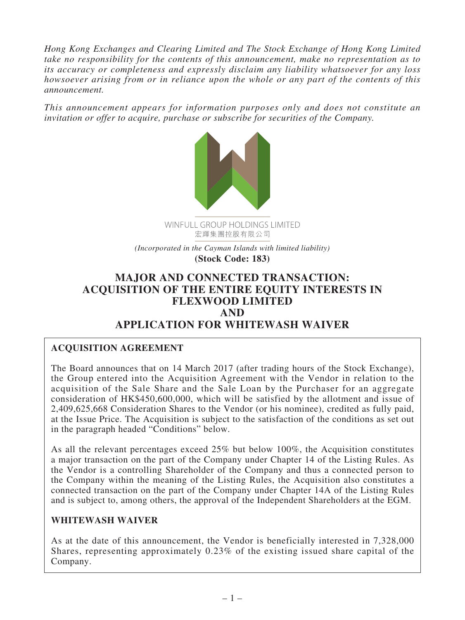*Hong Kong Exchanges and Clearing Limited and The Stock Exchange of Hong Kong Limited take no responsibility for the contents of this announcement, make no representation as to its accuracy or completeness and expressly disclaim any liability whatsoever for any loss howsoever arising from or in reliance upon the whole or any part of the contents of this announcement.*

*This announcement appears for information purposes only and does not constitute an invitation or offer to acquire, purchase or subscribe for securities of the Company.*



*(Incorporated in the Cayman Islands with limited liability)* **(Stock Code: 183)**

# **MAJOR AND CONNECTED TRANSACTION: ACQUISITION OF THE ENTIRE EQUITY INTERESTS IN FLEXWOOD LIMITED AND APPLICATION FOR WHITEWASH WAIVER**

## **ACQUISITION AGREEMENT**

The Board announces that on 14 March 2017 (after trading hours of the Stock Exchange), the Group entered into the Acquisition Agreement with the Vendor in relation to the acquisition of the Sale Share and the Sale Loan by the Purchaser for an aggregate consideration of HK\$450,600,000, which will be satisfied by the allotment and issue of 2,409,625,668 Consideration Shares to the Vendor (or his nominee), credited as fully paid, at the Issue Price. The Acquisition is subject to the satisfaction of the conditions as set out in the paragraph headed "Conditions" below.

As all the relevant percentages exceed 25% but below 100%, the Acquisition constitutes a major transaction on the part of the Company under Chapter 14 of the Listing Rules. As the Vendor is a controlling Shareholder of the Company and thus a connected person to the Company within the meaning of the Listing Rules, the Acquisition also constitutes a connected transaction on the part of the Company under Chapter 14A of the Listing Rules and is subject to, among others, the approval of the Independent Shareholders at the EGM.

### **WHITEWASH WAIVER**

As at the date of this announcement, the Vendor is beneficially interested in 7,328,000 Shares, representing approximately 0.23% of the existing issued share capital of the Company.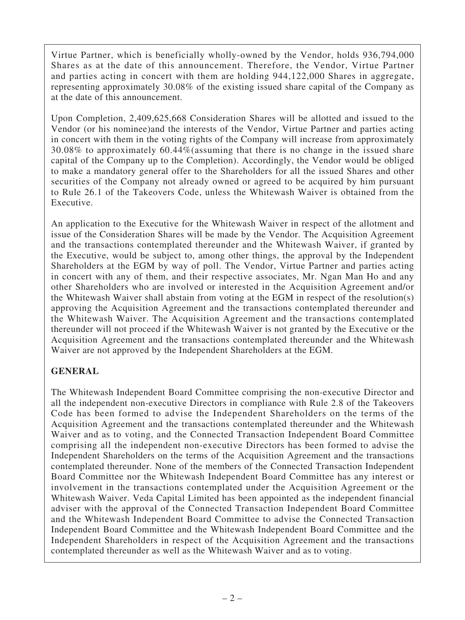Virtue Partner, which is beneficially wholly-owned by the Vendor, holds 936,794,000 Shares as at the date of this announcement. Therefore, the Vendor, Virtue Partner and parties acting in concert with them are holding 944,122,000 Shares in aggregate, representing approximately 30.08% of the existing issued share capital of the Company as at the date of this announcement.

Upon Completion, 2,409,625,668 Consideration Shares will be allotted and issued to the Vendor (or his nominee)and the interests of the Vendor, Virtue Partner and parties acting in concert with them in the voting rights of the Company will increase from approximately 30.08% to approximately 60.44%(assuming that there is no change in the issued share capital of the Company up to the Completion). Accordingly, the Vendor would be obliged to make a mandatory general offer to the Shareholders for all the issued Shares and other securities of the Company not already owned or agreed to be acquired by him pursuant to Rule 26.1 of the Takeovers Code, unless the Whitewash Waiver is obtained from the Executive.

An application to the Executive for the Whitewash Waiver in respect of the allotment and issue of the Consideration Shares will be made by the Vendor. The Acquisition Agreement and the transactions contemplated thereunder and the Whitewash Waiver, if granted by the Executive, would be subject to, among other things, the approval by the Independent Shareholders at the EGM by way of poll. The Vendor, Virtue Partner and parties acting in concert with any of them, and their respective associates, Mr. Ngan Man Ho and any other Shareholders who are involved or interested in the Acquisition Agreement and/or the Whitewash Waiver shall abstain from voting at the EGM in respect of the resolution(s) approving the Acquisition Agreement and the transactions contemplated thereunder and the Whitewash Waiver. The Acquisition Agreement and the transactions contemplated thereunder will not proceed if the Whitewash Waiver is not granted by the Executive or the Acquisition Agreement and the transactions contemplated thereunder and the Whitewash Waiver are not approved by the Independent Shareholders at the EGM.

## **GENERAL**

The Whitewash Independent Board Committee comprising the non-executive Director and all the independent non-executive Directors in compliance with Rule 2.8 of the Takeovers Code has been formed to advise the Independent Shareholders on the terms of the Acquisition Agreement and the transactions contemplated thereunder and the Whitewash Waiver and as to voting, and the Connected Transaction Independent Board Committee comprising all the independent non-executive Directors has been formed to advise the Independent Shareholders on the terms of the Acquisition Agreement and the transactions contemplated thereunder. None of the members of the Connected Transaction Independent Board Committee nor the Whitewash Independent Board Committee has any interest or involvement in the transactions contemplated under the Acquisition Agreement or the Whitewash Waiver. Veda Capital Limited has been appointed as the independent financial adviser with the approval of the Connected Transaction Independent Board Committee and the Whitewash Independent Board Committee to advise the Connected Transaction Independent Board Committee and the Whitewash Independent Board Committee and the Independent Shareholders in respect of the Acquisition Agreement and the transactions contemplated thereunder as well as the Whitewash Waiver and as to voting.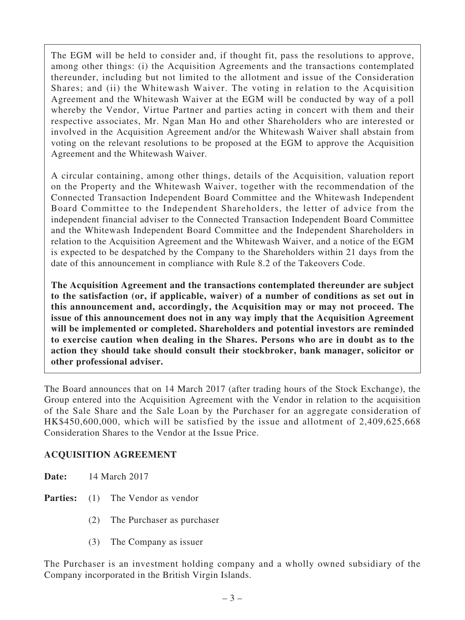The EGM will be held to consider and, if thought fit, pass the resolutions to approve, among other things: (i) the Acquisition Agreements and the transactions contemplated thereunder, including but not limited to the allotment and issue of the Consideration Shares; and (ii) the Whitewash Waiver. The voting in relation to the Acquisition Agreement and the Whitewash Waiver at the EGM will be conducted by way of a poll whereby the Vendor, Virtue Partner and parties acting in concert with them and their respective associates, Mr. Ngan Man Ho and other Shareholders who are interested or involved in the Acquisition Agreement and/or the Whitewash Waiver shall abstain from voting on the relevant resolutions to be proposed at the EGM to approve the Acquisition Agreement and the Whitewash Waiver.

A circular containing, among other things, details of the Acquisition, valuation report on the Property and the Whitewash Waiver, together with the recommendation of the Connected Transaction Independent Board Committee and the Whitewash Independent Board Committee to the Independent Shareholders, the letter of advice from the independent financial adviser to the Connected Transaction Independent Board Committee and the Whitewash Independent Board Committee and the Independent Shareholders in relation to the Acquisition Agreement and the Whitewash Waiver, and a notice of the EGM is expected to be despatched by the Company to the Shareholders within 21 days from the date of this announcement in compliance with Rule 8.2 of the Takeovers Code.

**The Acquisition Agreement and the transactions contemplated thereunder are subject to the satisfaction (or, if applicable, waiver) of a number of conditions as set out in this announcement and, accordingly, the Acquisition may or may not proceed. The issue of this announcement does not in any way imply that the Acquisition Agreement will be implemented or completed. Shareholders and potential investors are reminded to exercise caution when dealing in the Shares. Persons who are in doubt as to the action they should take should consult their stockbroker, bank manager, solicitor or other professional adviser.**

The Board announces that on 14 March 2017 (after trading hours of the Stock Exchange), the Group entered into the Acquisition Agreement with the Vendor in relation to the acquisition of the Sale Share and the Sale Loan by the Purchaser for an aggregate consideration of HK\$450,600,000, which will be satisfied by the issue and allotment of 2,409,625,668 Consideration Shares to the Vendor at the Issue Price.

### **ACQUISITION AGREEMENT**

| 14 March 2017<br>Date: |  |
|------------------------|--|
|------------------------|--|

- **Parties:** (1) The Vendor as vendor
	- (2) The Purchaser as purchaser
	- (3) The Company as issuer

The Purchaser is an investment holding company and a wholly owned subsidiary of the Company incorporated in the British Virgin Islands.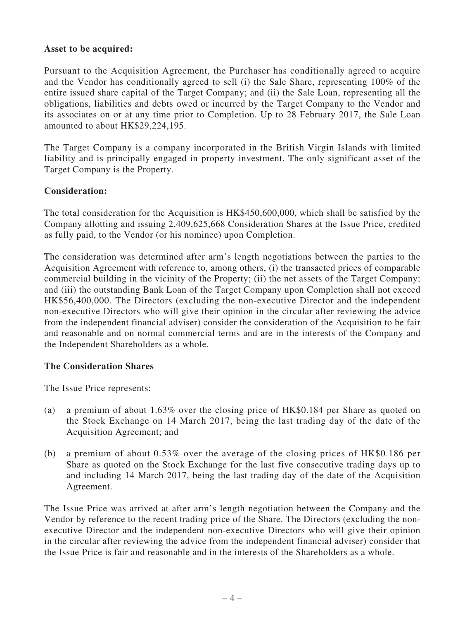#### **Asset to be acquired:**

Pursuant to the Acquisition Agreement, the Purchaser has conditionally agreed to acquire and the Vendor has conditionally agreed to sell (i) the Sale Share, representing 100% of the entire issued share capital of the Target Company; and (ii) the Sale Loan, representing all the obligations, liabilities and debts owed or incurred by the Target Company to the Vendor and its associates on or at any time prior to Completion. Up to 28 February 2017, the Sale Loan amounted to about HK\$29,224,195.

The Target Company is a company incorporated in the British Virgin Islands with limited liability and is principally engaged in property investment. The only significant asset of the Target Company is the Property.

### **Consideration:**

The total consideration for the Acquisition is HK\$450,600,000, which shall be satisfied by the Company allotting and issuing 2,409,625,668 Consideration Shares at the Issue Price, credited as fully paid, to the Vendor (or his nominee) upon Completion.

The consideration was determined after arm's length negotiations between the parties to the Acquisition Agreement with reference to, among others, (i) the transacted prices of comparable commercial building in the vicinity of the Property; (ii) the net assets of the Target Company; and (iii) the outstanding Bank Loan of the Target Company upon Completion shall not exceed HK\$56,400,000. The Directors (excluding the non-executive Director and the independent non-executive Directors who will give their opinion in the circular after reviewing the advice from the independent financial adviser) consider the consideration of the Acquisition to be fair and reasonable and on normal commercial terms and are in the interests of the Company and the Independent Shareholders as a whole.

### **The Consideration Shares**

The Issue Price represents:

- (a) a premium of about 1.63% over the closing price of HK\$0.184 per Share as quoted on the Stock Exchange on 14 March 2017, being the last trading day of the date of the Acquisition Agreement; and
- (b) a premium of about 0.53% over the average of the closing prices of HK\$0.186 per Share as quoted on the Stock Exchange for the last five consecutive trading days up to and including 14 March 2017, being the last trading day of the date of the Acquisition Agreement.

The Issue Price was arrived at after arm's length negotiation between the Company and the Vendor by reference to the recent trading price of the Share. The Directors (excluding the nonexecutive Director and the independent non-executive Directors who will give their opinion in the circular after reviewing the advice from the independent financial adviser) consider that the Issue Price is fair and reasonable and in the interests of the Shareholders as a whole.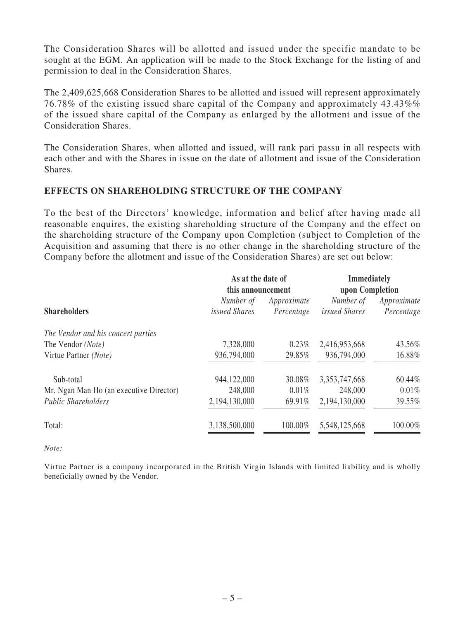The Consideration Shares will be allotted and issued under the specific mandate to be sought at the EGM. An application will be made to the Stock Exchange for the listing of and permission to deal in the Consideration Shares.

The 2,409,625,668 Consideration Shares to be allotted and issued will represent approximately 76.78% of the existing issued share capital of the Company and approximately 43.43%% of the issued share capital of the Company as enlarged by the allotment and issue of the Consideration Shares.

The Consideration Shares, when allotted and issued, will rank pari passu in all respects with each other and with the Shares in issue on the date of allotment and issue of the Consideration Shares.

### **EFFECTS ON SHAREHOLDING STRUCTURE OF THE COMPANY**

To the best of the Directors' knowledge, information and belief after having made all reasonable enquires, the existing shareholding structure of the Company and the effect on the shareholding structure of the Company upon Completion (subject to Completion of the Acquisition and assuming that there is no other change in the shareholding structure of the Company before the allotment and issue of the Consideration Shares) are set out below:

|                                         | As at the date of<br>this announcement |                           | <b>Immediately</b><br>upon Completion |                           |
|-----------------------------------------|----------------------------------------|---------------------------|---------------------------------------|---------------------------|
| <b>Shareholders</b>                     | Number of<br><i>issued Shares</i>      | Approximate<br>Percentage | Number of<br><i>issued Shares</i>     | Approximate<br>Percentage |
| The Vendor and his concert parties      |                                        |                           |                                       |                           |
| The Vendor (Note)                       | 7,328,000                              | 0.23%                     | 2,416,953,668                         | 43.56%                    |
| Virtue Partner (Note)                   | 936,794,000                            | 29.85%                    | 936,794,000                           | 16.88%                    |
| Sub-total                               | 944,122,000                            | 30.08%                    | 3,353,747,668                         | 60.44%                    |
| Mr. Ngan Man Ho (an executive Director) | 248,000                                | 0.01%                     | 248,000                               | $0.01\%$                  |
| <b>Public Shareholders</b>              | 2,194,130,000                          | 69.91%                    | 2,194,130,000                         | 39.55%                    |
| Total:                                  | 3,138,500,000                          | 100.00%                   | 5,548,125,668                         | 100.00%                   |

*Note:*

Virtue Partner is a company incorporated in the British Virgin Islands with limited liability and is wholly beneficially owned by the Vendor.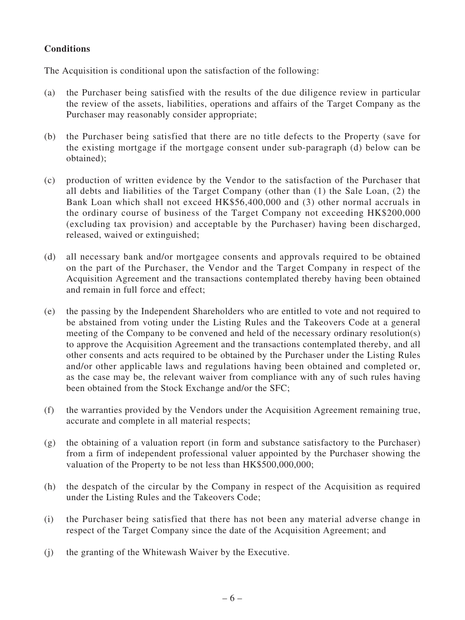## **Conditions**

The Acquisition is conditional upon the satisfaction of the following:

- (a) the Purchaser being satisfied with the results of the due diligence review in particular the review of the assets, liabilities, operations and affairs of the Target Company as the Purchaser may reasonably consider appropriate;
- (b) the Purchaser being satisfied that there are no title defects to the Property (save for the existing mortgage if the mortgage consent under sub-paragraph (d) below can be obtained);
- (c) production of written evidence by the Vendor to the satisfaction of the Purchaser that all debts and liabilities of the Target Company (other than (1) the Sale Loan, (2) the Bank Loan which shall not exceed HK\$56,400,000 and (3) other normal accruals in the ordinary course of business of the Target Company not exceeding HK\$200,000 (excluding tax provision) and acceptable by the Purchaser) having been discharged, released, waived or extinguished;
- (d) all necessary bank and/or mortgagee consents and approvals required to be obtained on the part of the Purchaser, the Vendor and the Target Company in respect of the Acquisition Agreement and the transactions contemplated thereby having been obtained and remain in full force and effect;
- (e) the passing by the Independent Shareholders who are entitled to vote and not required to be abstained from voting under the Listing Rules and the Takeovers Code at a general meeting of the Company to be convened and held of the necessary ordinary resolution(s) to approve the Acquisition Agreement and the transactions contemplated thereby, and all other consents and acts required to be obtained by the Purchaser under the Listing Rules and/or other applicable laws and regulations having been obtained and completed or, as the case may be, the relevant waiver from compliance with any of such rules having been obtained from the Stock Exchange and/or the SFC;
- (f) the warranties provided by the Vendors under the Acquisition Agreement remaining true, accurate and complete in all material respects;
- (g) the obtaining of a valuation report (in form and substance satisfactory to the Purchaser) from a firm of independent professional valuer appointed by the Purchaser showing the valuation of the Property to be not less than HK\$500,000,000;
- (h) the despatch of the circular by the Company in respect of the Acquisition as required under the Listing Rules and the Takeovers Code;
- (i) the Purchaser being satisfied that there has not been any material adverse change in respect of the Target Company since the date of the Acquisition Agreement; and
- (j) the granting of the Whitewash Waiver by the Executive.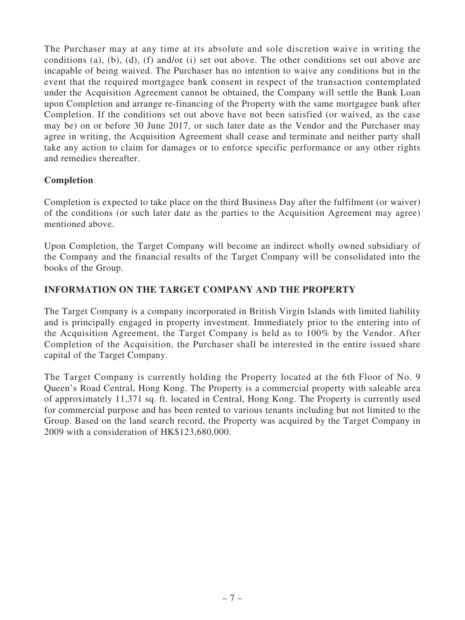The Purchaser may at any time at its absolute and sole discretion waive in writing the conditions (a), (b), (d), (f) and/or (i) set out above. The other conditions set out above are incapable of being waived. The Purchaser has no intention to waive any conditions but in the event that the required mortgagee bank consent in respect of the transaction contemplated under the Acquisition Agreement cannot be obtained, the Company will settle the Bank Loan upon Completion and arrange re-financing of the Property with the same mortgagee bank after Completion. If the conditions set out above have not been satisfied (or waived, as the case may be) on or before 30 June 2017, or such later date as the Vendor and the Purchaser may agree in writing, the Acquisition Agreement shall cease and terminate and neither party shall take any action to claim for damages or to enforce specific performance or any other rights and remedies thereafter.

## **Completion**

Completion is expected to take place on the third Business Day after the fulfilment (or waiver) of the conditions (or such later date as the parties to the Acquisition Agreement may agree) mentioned above.

Upon Completion, the Target Company will become an indirect wholly owned subsidiary of the Company and the financial results of the Target Company will be consolidated into the books of the Group.

## **INFORMATION ON THE TARGET COMPANY AND THE PROPERTY**

The Target Company is a company incorporated in British Virgin Islands with limited liability and is principally engaged in property investment. Immediately prior to the entering into of the Acquisition Agreement, the Target Company is held as to 100% by the Vendor. After Completion of the Acquisition, the Purchaser shall be interested in the entire issued share capital of the Target Company.

The Target Company is currently holding the Property located at the 6th Floor of No. 9 Queen's Road Central, Hong Kong. The Property is a commercial property with saleable area of approximately 11,371 sq. ft. located in Central, Hong Kong. The Property is currently used for commercial purpose and has been rented to various tenants including but not limited to the Group. Based on the land search record, the Property was acquired by the Target Company in 2009 with a consideration of HK\$123,680,000.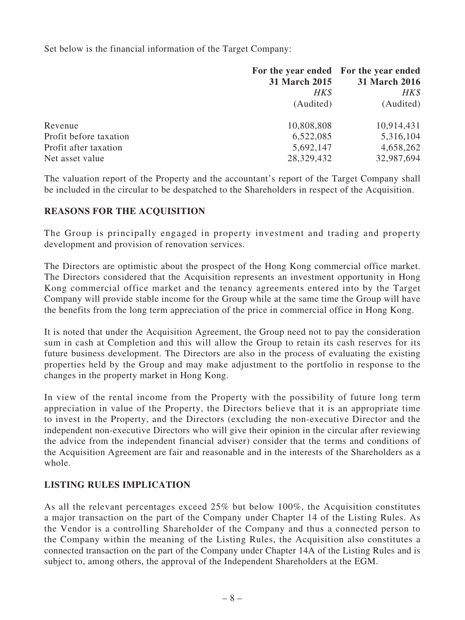Set below is the financial information of the Target Company:

|                        |               | For the year ended For the year ended |
|------------------------|---------------|---------------------------------------|
|                        | 31 March 2015 | 31 March 2016                         |
|                        | HK\$          | HK\$                                  |
|                        | (Audited)     | (Audited)                             |
| Revenue                | 10,808,808    | 10,914,431                            |
| Profit before taxation | 6,522,085     | 5,316,104                             |
| Profit after taxation  | 5,692,147     | 4,658,262                             |
| Net asset value        | 28,329,432    | 32,987,694                            |

The valuation report of the Property and the accountant's report of the Target Company shall be included in the circular to be despatched to the Shareholders in respect of the Acquisition.

## **REASONS FOR THE ACQUISITION**

The Group is principally engaged in property investment and trading and property development and provision of renovation services.

The Directors are optimistic about the prospect of the Hong Kong commercial office market. The Directors considered that the Acquisition represents an investment opportunity in Hong Kong commercial office market and the tenancy agreements entered into by the Target Company will provide stable income for the Group while at the same time the Group will have the benefits from the long term appreciation of the price in commercial office in Hong Kong.

It is noted that under the Acquisition Agreement, the Group need not to pay the consideration sum in cash at Completion and this will allow the Group to retain its cash reserves for its future business development. The Directors are also in the process of evaluating the existing properties held by the Group and may make adjustment to the portfolio in response to the changes in the property market in Hong Kong.

In view of the rental income from the Property with the possibility of future long term appreciation in value of the Property, the Directors believe that it is an appropriate time to invest in the Property, and the Directors (excluding the non-executive Director and the independent non-executive Directors who will give their opinion in the circular after reviewing the advice from the independent financial adviser) consider that the terms and conditions of the Acquisition Agreement are fair and reasonable and in the interests of the Shareholders as a whole.

### **LISTING RULES IMPLICATION**

As all the relevant percentages exceed 25% but below 100%, the Acquisition constitutes a major transaction on the part of the Company under Chapter 14 of the Listing Rules. As the Vendor is a controlling Shareholder of the Company and thus a connected person to the Company within the meaning of the Listing Rules, the Acquisition also constitutes a connected transaction on the part of the Company under Chapter 14A of the Listing Rules and is subject to, among others, the approval of the Independent Shareholders at the EGM.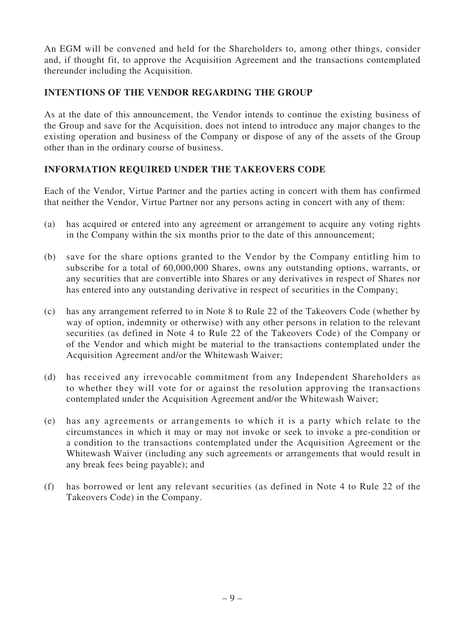An EGM will be convened and held for the Shareholders to, among other things, consider and, if thought fit, to approve the Acquisition Agreement and the transactions contemplated thereunder including the Acquisition.

## **INTENTIONS OF THE VENDOR REGARDING THE GROUP**

As at the date of this announcement, the Vendor intends to continue the existing business of the Group and save for the Acquisition, does not intend to introduce any major changes to the existing operation and business of the Company or dispose of any of the assets of the Group other than in the ordinary course of business.

## **INFORMATION REQUIRED UNDER THE TAKEOVERS CODE**

Each of the Vendor, Virtue Partner and the parties acting in concert with them has confirmed that neither the Vendor, Virtue Partner nor any persons acting in concert with any of them:

- (a) has acquired or entered into any agreement or arrangement to acquire any voting rights in the Company within the six months prior to the date of this announcement;
- (b) save for the share options granted to the Vendor by the Company entitling him to subscribe for a total of 60,000,000 Shares, owns any outstanding options, warrants, or any securities that are convertible into Shares or any derivatives in respect of Shares nor has entered into any outstanding derivative in respect of securities in the Company;
- (c) has any arrangement referred to in Note 8 to Rule 22 of the Takeovers Code (whether by way of option, indemnity or otherwise) with any other persons in relation to the relevant securities (as defined in Note 4 to Rule 22 of the Takeovers Code) of the Company or of the Vendor and which might be material to the transactions contemplated under the Acquisition Agreement and/or the Whitewash Waiver;
- (d) has received any irrevocable commitment from any Independent Shareholders as to whether they will vote for or against the resolution approving the transactions contemplated under the Acquisition Agreement and/or the Whitewash Waiver;
- (e) has any agreements or arrangements to which it is a party which relate to the circumstances in which it may or may not invoke or seek to invoke a pre-condition or a condition to the transactions contemplated under the Acquisition Agreement or the Whitewash Waiver (including any such agreements or arrangements that would result in any break fees being payable); and
- (f) has borrowed or lent any relevant securities (as defined in Note 4 to Rule 22 of the Takeovers Code) in the Company.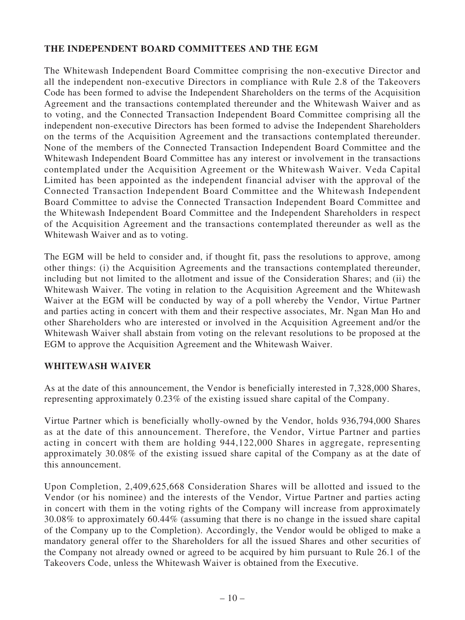## **THE INDEPENDENT BOARD COMMITTEES AND THE EGM**

The Whitewash Independent Board Committee comprising the non-executive Director and all the independent non-executive Directors in compliance with Rule 2.8 of the Takeovers Code has been formed to advise the Independent Shareholders on the terms of the Acquisition Agreement and the transactions contemplated thereunder and the Whitewash Waiver and as to voting, and the Connected Transaction Independent Board Committee comprising all the independent non-executive Directors has been formed to advise the Independent Shareholders on the terms of the Acquisition Agreement and the transactions contemplated thereunder. None of the members of the Connected Transaction Independent Board Committee and the Whitewash Independent Board Committee has any interest or involvement in the transactions contemplated under the Acquisition Agreement or the Whitewash Waiver. Veda Capital Limited has been appointed as the independent financial adviser with the approval of the Connected Transaction Independent Board Committee and the Whitewash Independent Board Committee to advise the Connected Transaction Independent Board Committee and the Whitewash Independent Board Committee and the Independent Shareholders in respect of the Acquisition Agreement and the transactions contemplated thereunder as well as the Whitewash Waiver and as to voting.

The EGM will be held to consider and, if thought fit, pass the resolutions to approve, among other things: (i) the Acquisition Agreements and the transactions contemplated thereunder, including but not limited to the allotment and issue of the Consideration Shares; and (ii) the Whitewash Waiver. The voting in relation to the Acquisition Agreement and the Whitewash Waiver at the EGM will be conducted by way of a poll whereby the Vendor, Virtue Partner and parties acting in concert with them and their respective associates, Mr. Ngan Man Ho and other Shareholders who are interested or involved in the Acquisition Agreement and/or the Whitewash Waiver shall abstain from voting on the relevant resolutions to be proposed at the EGM to approve the Acquisition Agreement and the Whitewash Waiver.

### **WHITEWASH WAIVER**

As at the date of this announcement, the Vendor is beneficially interested in 7,328,000 Shares, representing approximately 0.23% of the existing issued share capital of the Company.

Virtue Partner which is beneficially wholly-owned by the Vendor, holds 936,794,000 Shares as at the date of this announcement. Therefore, the Vendor, Virtue Partner and parties acting in concert with them are holding 944,122,000 Shares in aggregate, representing approximately 30.08% of the existing issued share capital of the Company as at the date of this announcement.

Upon Completion, 2,409,625,668 Consideration Shares will be allotted and issued to the Vendor (or his nominee) and the interests of the Vendor, Virtue Partner and parties acting in concert with them in the voting rights of the Company will increase from approximately 30.08% to approximately 60.44% (assuming that there is no change in the issued share capital of the Company up to the Completion). Accordingly, the Vendor would be obliged to make a mandatory general offer to the Shareholders for all the issued Shares and other securities of the Company not already owned or agreed to be acquired by him pursuant to Rule 26.1 of the Takeovers Code, unless the Whitewash Waiver is obtained from the Executive.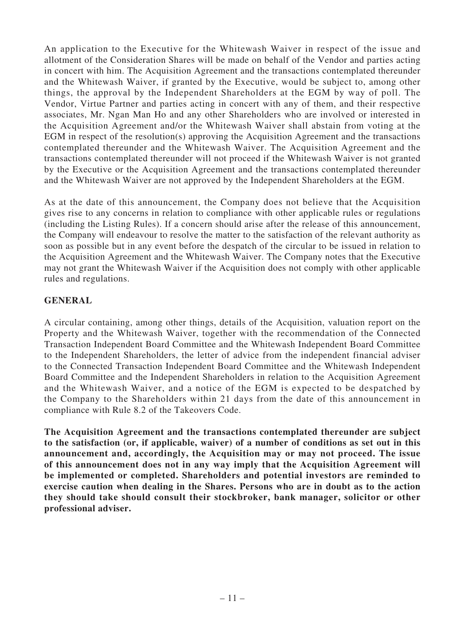An application to the Executive for the Whitewash Waiver in respect of the issue and allotment of the Consideration Shares will be made on behalf of the Vendor and parties acting in concert with him. The Acquisition Agreement and the transactions contemplated thereunder and the Whitewash Waiver, if granted by the Executive, would be subject to, among other things, the approval by the Independent Shareholders at the EGM by way of poll. The Vendor, Virtue Partner and parties acting in concert with any of them, and their respective associates, Mr. Ngan Man Ho and any other Shareholders who are involved or interested in the Acquisition Agreement and/or the Whitewash Waiver shall abstain from voting at the EGM in respect of the resolution(s) approving the Acquisition Agreement and the transactions contemplated thereunder and the Whitewash Waiver. The Acquisition Agreement and the transactions contemplated thereunder will not proceed if the Whitewash Waiver is not granted by the Executive or the Acquisition Agreement and the transactions contemplated thereunder and the Whitewash Waiver are not approved by the Independent Shareholders at the EGM.

As at the date of this announcement, the Company does not believe that the Acquisition gives rise to any concerns in relation to compliance with other applicable rules or regulations (including the Listing Rules). If a concern should arise after the release of this announcement, the Company will endeavour to resolve the matter to the satisfaction of the relevant authority as soon as possible but in any event before the despatch of the circular to be issued in relation to the Acquisition Agreement and the Whitewash Waiver. The Company notes that the Executive may not grant the Whitewash Waiver if the Acquisition does not comply with other applicable rules and regulations.

### **GENERAL**

A circular containing, among other things, details of the Acquisition, valuation report on the Property and the Whitewash Waiver, together with the recommendation of the Connected Transaction Independent Board Committee and the Whitewash Independent Board Committee to the Independent Shareholders, the letter of advice from the independent financial adviser to the Connected Transaction Independent Board Committee and the Whitewash Independent Board Committee and the Independent Shareholders in relation to the Acquisition Agreement and the Whitewash Waiver, and a notice of the EGM is expected to be despatched by the Company to the Shareholders within 21 days from the date of this announcement in compliance with Rule 8.2 of the Takeovers Code.

**The Acquisition Agreement and the transactions contemplated thereunder are subject to the satisfaction (or, if applicable, waiver) of a number of conditions as set out in this announcement and, accordingly, the Acquisition may or may not proceed. The issue of this announcement does not in any way imply that the Acquisition Agreement will be implemented or completed. Shareholders and potential investors are reminded to exercise caution when dealing in the Shares. Persons who are in doubt as to the action they should take should consult their stockbroker, bank manager, solicitor or other professional adviser.**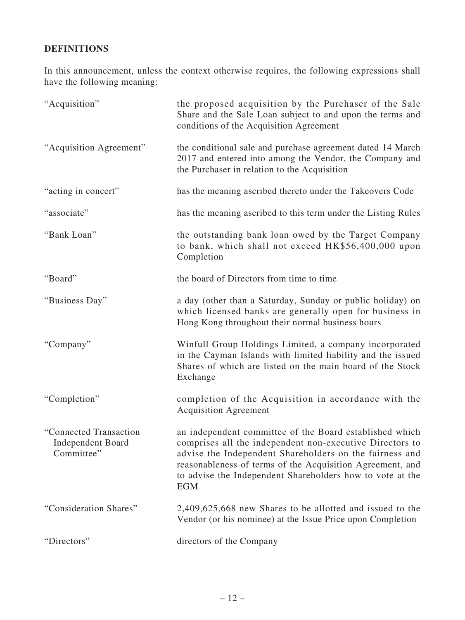# **DEFINITIONS**

In this announcement, unless the context otherwise requires, the following expressions shall have the following meaning:

| "Acquisition"                                                    | the proposed acquisition by the Purchaser of the Sale<br>Share and the Sale Loan subject to and upon the terms and<br>conditions of the Acquisition Agreement                                                                                                                                                          |
|------------------------------------------------------------------|------------------------------------------------------------------------------------------------------------------------------------------------------------------------------------------------------------------------------------------------------------------------------------------------------------------------|
| "Acquisition Agreement"                                          | the conditional sale and purchase agreement dated 14 March<br>2017 and entered into among the Vendor, the Company and<br>the Purchaser in relation to the Acquisition                                                                                                                                                  |
| "acting in concert"                                              | has the meaning ascribed thereto under the Takeovers Code                                                                                                                                                                                                                                                              |
| "associate"                                                      | has the meaning ascribed to this term under the Listing Rules                                                                                                                                                                                                                                                          |
| "Bank Loan"                                                      | the outstanding bank loan owed by the Target Company<br>to bank, which shall not exceed HK\$56,400,000 upon<br>Completion                                                                                                                                                                                              |
| "Board"                                                          | the board of Directors from time to time                                                                                                                                                                                                                                                                               |
| "Business Day"                                                   | a day (other than a Saturday, Sunday or public holiday) on<br>which licensed banks are generally open for business in<br>Hong Kong throughout their normal business hours                                                                                                                                              |
| "Company"                                                        | Winfull Group Holdings Limited, a company incorporated<br>in the Cayman Islands with limited liability and the issued<br>Shares of which are listed on the main board of the Stock<br>Exchange                                                                                                                         |
| "Completion"                                                     | completion of the Acquisition in accordance with the<br><b>Acquisition Agreement</b>                                                                                                                                                                                                                                   |
| "Connected Transaction<br><b>Independent Board</b><br>Committee" | an independent committee of the Board established which<br>comprises all the independent non-executive Directors to<br>advise the Independent Shareholders on the fairness and<br>reasonableness of terms of the Acquisition Agreement, and<br>to advise the Independent Shareholders how to vote at the<br><b>EGM</b> |
| "Consideration Shares"                                           | 2,409,625,668 new Shares to be allotted and issued to the<br>Vendor (or his nominee) at the Issue Price upon Completion                                                                                                                                                                                                |
| "Directors"                                                      | directors of the Company                                                                                                                                                                                                                                                                                               |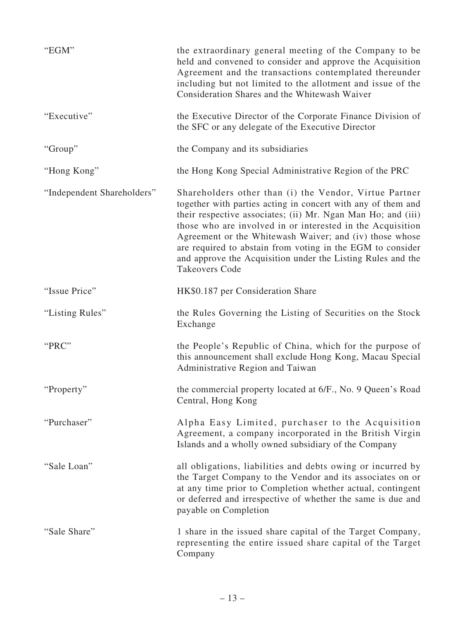| "EGM"                      | the extraordinary general meeting of the Company to be<br>held and convened to consider and approve the Acquisition<br>Agreement and the transactions contemplated thereunder<br>including but not limited to the allotment and issue of the<br>Consideration Shares and the Whitewash Waiver                                                                                                                                                                         |
|----------------------------|-----------------------------------------------------------------------------------------------------------------------------------------------------------------------------------------------------------------------------------------------------------------------------------------------------------------------------------------------------------------------------------------------------------------------------------------------------------------------|
| "Executive"                | the Executive Director of the Corporate Finance Division of<br>the SFC or any delegate of the Executive Director                                                                                                                                                                                                                                                                                                                                                      |
| "Group"                    | the Company and its subsidiaries                                                                                                                                                                                                                                                                                                                                                                                                                                      |
| "Hong Kong"                | the Hong Kong Special Administrative Region of the PRC                                                                                                                                                                                                                                                                                                                                                                                                                |
| "Independent Shareholders" | Shareholders other than (i) the Vendor, Virtue Partner<br>together with parties acting in concert with any of them and<br>their respective associates; (ii) Mr. Ngan Man Ho; and (iii)<br>those who are involved in or interested in the Acquisition<br>Agreement or the Whitewash Waiver; and (iv) those whose<br>are required to abstain from voting in the EGM to consider<br>and approve the Acquisition under the Listing Rules and the<br><b>Takeovers Code</b> |
| "Issue Price"              | HK\$0.187 per Consideration Share                                                                                                                                                                                                                                                                                                                                                                                                                                     |
| "Listing Rules"            | the Rules Governing the Listing of Securities on the Stock<br>Exchange                                                                                                                                                                                                                                                                                                                                                                                                |
| "PRC"                      | the People's Republic of China, which for the purpose of<br>this announcement shall exclude Hong Kong, Macau Special<br>Administrative Region and Taiwan                                                                                                                                                                                                                                                                                                              |
| "Property"                 | the commercial property located at 6/F., No. 9 Queen's Road<br>Central, Hong Kong                                                                                                                                                                                                                                                                                                                                                                                     |
| "Purchaser"                | Alpha Easy Limited, purchaser to the Acquisition<br>Agreement, a company incorporated in the British Virgin<br>Islands and a wholly owned subsidiary of the Company                                                                                                                                                                                                                                                                                                   |
| "Sale Loan"                | all obligations, liabilities and debts owing or incurred by<br>the Target Company to the Vendor and its associates on or<br>at any time prior to Completion whether actual, contingent<br>or deferred and irrespective of whether the same is due and<br>payable on Completion                                                                                                                                                                                        |
| "Sale Share"               | 1 share in the issued share capital of the Target Company,<br>representing the entire issued share capital of the Target<br>Company                                                                                                                                                                                                                                                                                                                                   |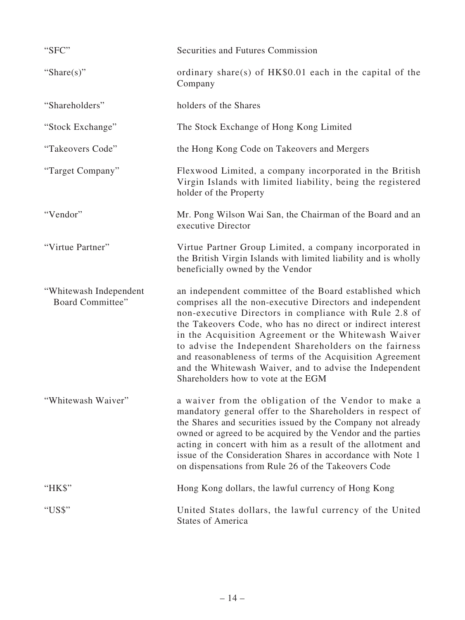| "SFC"                                      | Securities and Futures Commission                                                                                                                                                                                                                                                                                                                                                                                                                                                                                            |
|--------------------------------------------|------------------------------------------------------------------------------------------------------------------------------------------------------------------------------------------------------------------------------------------------------------------------------------------------------------------------------------------------------------------------------------------------------------------------------------------------------------------------------------------------------------------------------|
| "Share $(s)$ "                             | ordinary share(s) of $HK$0.01$ each in the capital of the<br>Company                                                                                                                                                                                                                                                                                                                                                                                                                                                         |
| "Shareholders"                             | holders of the Shares                                                                                                                                                                                                                                                                                                                                                                                                                                                                                                        |
| "Stock Exchange"                           | The Stock Exchange of Hong Kong Limited                                                                                                                                                                                                                                                                                                                                                                                                                                                                                      |
| "Takeovers Code"                           | the Hong Kong Code on Takeovers and Mergers                                                                                                                                                                                                                                                                                                                                                                                                                                                                                  |
| "Target Company"                           | Flexwood Limited, a company incorporated in the British<br>Virgin Islands with limited liability, being the registered<br>holder of the Property                                                                                                                                                                                                                                                                                                                                                                             |
| "Vendor"                                   | Mr. Pong Wilson Wai San, the Chairman of the Board and an<br>executive Director                                                                                                                                                                                                                                                                                                                                                                                                                                              |
| "Virtue Partner"                           | Virtue Partner Group Limited, a company incorporated in<br>the British Virgin Islands with limited liability and is wholly<br>beneficially owned by the Vendor                                                                                                                                                                                                                                                                                                                                                               |
| "Whitewash Independent<br>Board Committee" | an independent committee of the Board established which<br>comprises all the non-executive Directors and independent<br>non-executive Directors in compliance with Rule 2.8 of<br>the Takeovers Code, who has no direct or indirect interest<br>in the Acquisition Agreement or the Whitewash Waiver<br>to advise the Independent Shareholders on the fairness<br>and reasonableness of terms of the Acquisition Agreement<br>and the Whitewash Waiver, and to advise the Independent<br>Shareholders how to vote at the EGM |
| "Whitewash Waiver"                         | a waiver from the obligation of the Vendor to make a<br>mandatory general offer to the Shareholders in respect of<br>the Shares and securities issued by the Company not already<br>owned or agreed to be acquired by the Vendor and the parties<br>acting in concert with him as a result of the allotment and<br>issue of the Consideration Shares in accordance with Note 1<br>on dispensations from Rule 26 of the Takeovers Code                                                                                        |
| "HK\$"                                     | Hong Kong dollars, the lawful currency of Hong Kong                                                                                                                                                                                                                                                                                                                                                                                                                                                                          |
| "US\$"                                     | United States dollars, the lawful currency of the United<br><b>States of America</b>                                                                                                                                                                                                                                                                                                                                                                                                                                         |